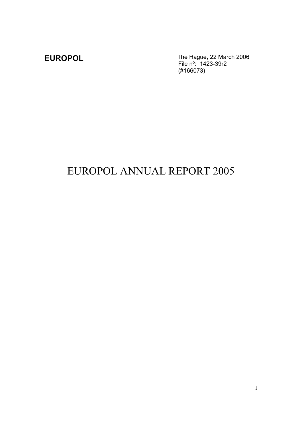**EUROPOL** The Hague, 22 March 2006 File nº: 1423-39r2 (#166073)

# EUROPOL ANNUAL REPORT 2005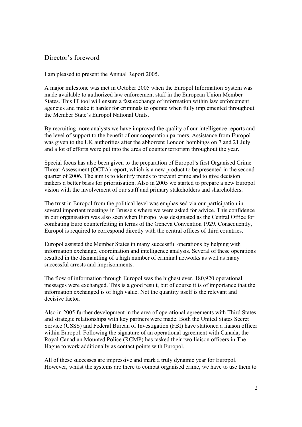# Director's foreword

I am pleased to present the Annual Report 2005.

A major milestone was met in October 2005 when the Europol Information System was made available to authorized law enforcement staff in the European Union Member States. This IT tool will ensure a fast exchange of information within law enforcement agencies and make it harder for criminals to operate when fully implemented throughout the Member State's Europol National Units.

By recruiting more analysts we have improved the quality of our intelligence reports and the level of support to the benefit of our cooperation partners. Assistance from Europol was given to the UK authorities after the abhorrent London bombings on 7 and 21 July and a lot of efforts were put into the area of counter terrorism throughout the year.

Special focus has also been given to the preparation of Europol's first Organised Crime Threat Assessment (OCTA) report, which is a new product to be presented in the second quarter of 2006. The aim is to identify trends to prevent crime and to give decision makers a better basis for prioritisation. Also in 2005 we started to prepare a new Europol vision with the involvement of our staff and primary stakeholders and shareholders.

The trust in Europol from the political level was emphasised via our participation in several important meetings in Brussels where we were asked for advice. This confidence in our organisation was also seen when Europol was designated as the Central Office for combating Euro counterfeiting in terms of the Geneva Convention 1929. Consequently, Europol is required to correspond directly with the central offices of third countries.

Europol assisted the Member States in many successful operations by helping with information exchange, coordination and intelligence analysis. Several of these operations resulted in the dismantling of a high number of criminal networks as well as many successful arrests and imprisonments.

The flow of information through Europol was the highest ever. 180,920 operational messages were exchanged. This is a good result, but of course it is of importance that the information exchanged is of high value. Not the quantity itself is the relevant and decisive factor.

Also in 2005 further development in the area of operational agreements with Third States and strategic relationships with key partners were made. Both the United States Secret Service (USSS) and Federal Bureau of Investigation (FBI) have stationed a liaison officer within Europol. Following the signature of an operational agreement with Canada, the Royal Canadian Mounted Police (RCMP) has tasked their two liaison officers in The Hague to work additionally as contact points with Europol.

All of these successes are impressive and mark a truly dynamic year for Europol. However, whilst the systems are there to combat organised crime, we have to use them to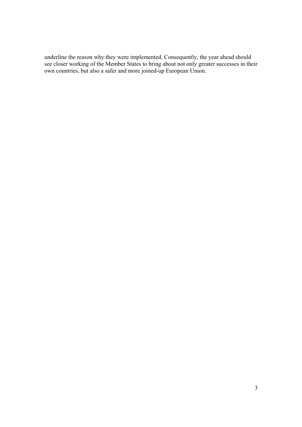underline the reason why they were implemented. Consequently, the year ahead should see closer working of the Member States to bring about not only greater successes in their own countries, but also a safer and more joined-up European Union.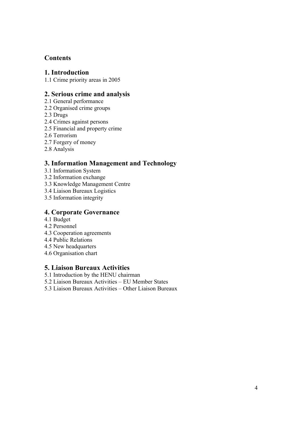# **Contents**

# **1. Introduction**

1.1 Crime priority areas in 2005

# **2. Serious crime and analysis**

- 2.1 General performance
- 2.2 Organised crime groups
- 2.3 Drugs
- 2.4 Crimes against persons
- 2.5 Financial and property crime
- 2.6 Terrorism
- 2.7 Forgery of money
- 2.8 Analysis

# **3. Information Management and Technology**

- 3.1 Information System
- 3.2 Information exchange
- 3.3 Knowledge Management Centre
- 3.4 Liaison Bureaux Logistics
- 3.5 Information integrity

# **4. Corporate Governance**

- 4.1 Budget
- 4.2 Personnel
- 4.3 Cooperation agreements
- 4.4 Public Relations
- 4.5 New headquarters
- 4.6 Organisation chart

# **5. Liaison Bureaux Activities**

5.1 Introduction by the HENU chairman

- 5.2 Liaison Bureaux Activities EU Member States
- 5.3 Liaison Bureaux Activities Other Liaison Bureaux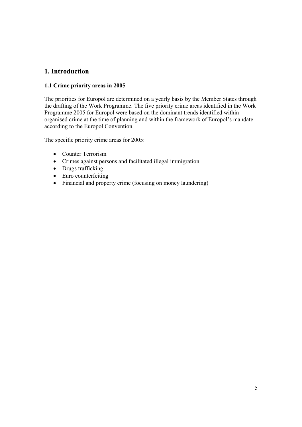# **1. Introduction**

## **1.1 Crime priority areas in 2005**

The priorities for Europol are determined on a yearly basis by the Member States through the drafting of the Work Programme. The five priority crime areas identified in the Work Programme 2005 for Europol were based on the dominant trends identified within organised crime at the time of planning and within the framework of Europol's mandate according to the Europol Convention.

The specific priority crime areas for 2005:

- Counter Terrorism
- Crimes against persons and facilitated illegal immigration
- Drugs trafficking
- Euro counterfeiting
- Financial and property crime (focusing on money laundering)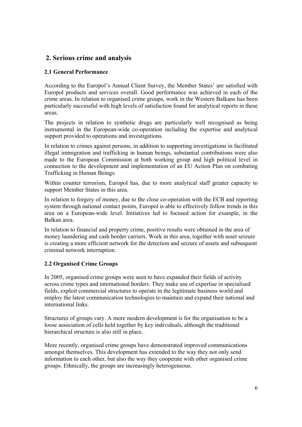# **2. Serious crime and analysis**

## **2.1 General Performance**

According to the Europol's Annual Client Survey, the Member States' are satisfied with Europol products and services overall. Good performance was achieved in each of the crime areas. In relation to organised crime groups, work in the Western Balkans has been particularly successful with high levels of satisfaction found for analytical reports in these areas.

The projects in relation to synthetic drugs are particularly well recognised as being instrumental in the European-wide co-operation including the expertise and analytical support provided to operations and investigations.

In relation to crimes against persons, in addition to supporting investigations in facilitated illegal immigration and trafficking in human beings, substantial contributions were also made to the European Commission at both working group and high political level in connection to the development and implementation of an EU Action Plan on combating Trafficking in Human Beings.

Within counter terrorism, Europol has, due to more analytical staff greater capacity to support Member States in this area.

In relation to forgery of money, due to the close co-operation with the ECB and reporting system through national contact points, Europol is able to effectively follow trends in this area on a European-wide level. Initiatives led to focused action for example, in the Balkan area.

In relation to financial and property crime, positive results were obtained in the area of money laundering and cash border carriers. Work in this area, together with asset seizure is creating a more efficient network for the detection and seizure of assets and subsequent criminal network interruption.

# **2.2 Organised Crime Groups**

In 2005, organised crime groups were seen to have expanded their fields of activity across crime types and international borders. They make use of expertise in specialised fields, exploit commercial structures to operate in the legitimate business world and employ the latest communication technologies to maintain and expand their national and international links.

Structures of groups vary. A more modern development is for the organisation to be a loose association of cells held together by key individuals, although the traditional hierarchical structure is also still in place.

More recently, organised crime groups have demonstrated improved communications amongst themselves. This development has extended to the way they not only send information to each other, but also the way they cooperate with other organised crime groups. Ethnically, the groups are increasingly heterogeneous.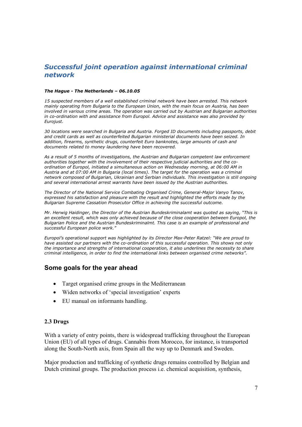# *Successful joint operation against international criminal network*

#### *The Hague - The Netherlands – 06.10.05*

*15 suspected members of a well established criminal network have been arrested. This network mainly operating from Bulgaria to the European Union, with the main focus on Austria, has been involved in various crime areas. The operation was carried out by Austrian and Bulgarian authorities in co-ordination with and assistance from Europol. Advice and assistance was also provided by Eurojust.* 

*30 locations were searched in Bulgaria and Austria. Forged ID documents including passports, debit and credit cards as well as counterfeited Bulgarian ministerial documents have been seized. In addition, firearms, synthetic drugs, counterfeit Euro banknotes, large amounts of cash and documents related to money laundering have been recovered.* 

*As a result of 5 months of investigations, the Austrian and Bulgarian competent law enforcement authorities together with the involvement of their respective judicial authorities and the coordination of Europol, initiated a simultaneous action on Wednesday morning, at 06:00 AM in Austria and at 07:00 AM in Bulgaria (local times). The target for the operation was a criminal network composed of Bulgarian, Ukrainian and Serbian individuals. This investigation is still ongoing and several international arrest warrants have been issued by the Austrian authorities.* 

*The Director of the National Service Combating Organised Crime, General-Major Vanyo Tanov, expressed his satisfaction and pleasure with the result and highlighted the efforts made by the Bulgarian Supreme Cassation Prosecutor Office in achieving the successful outcome.* 

*Mr. Herwig Haidinger, the Director of the Austrian Bundeskriminalamt was quoted as saying, "This is an excellent result, which was only achieved because of the close cooperation between Europol, the Bulgarian Police and the Austrian Bundeskriminalmt. This case is an example of professional and successful European police work."* 

*Europol's operational support was highlighted by its Director Max-Peter Ratzel: "We are proud to have assisted our partners with the co-ordination of this successful operation. This shows not only the importance and strengths of international cooperation, it also underlines the necessity to share criminal intelligence, in order to find the international links between organised crime networks".* 

# **Some goals for the year ahead**

- Target organised crime groups in the Mediterranean
- Widen networks of 'special investigation' experts
- EU manual on informants handling.

#### **2.3 Drugs**

With a variety of entry points, there is widespread trafficking throughout the European Union (EU) of all types of drugs. Cannabis from Morocco, for instance, is transported along the South-North axis, from Spain all the way up to Denmark and Sweden.

Major production and trafficking of synthetic drugs remains controlled by Belgian and Dutch criminal groups. The production process i.e. chemical acquisition, synthesis,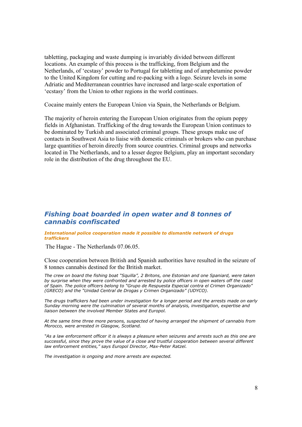tabletting, packaging and waste dumping is invariably divided between different locations. An example of this process is the trafficking, from Belgium and the Netherlands, of 'ecstasy' powder to Portugal for tabletting and of amphetamine powder to the United Kingdom for cutting and re-packing with a logo. Seizure levels in some Adriatic and Mediterranean countries have increased and large-scale exportation of 'ecstasy' from the Union to other regions in the world continues.

Cocaine mainly enters the European Union via Spain, the Netherlands or Belgium.

The majority of heroin entering the European Union originates from the opium poppy fields in Afghanistan. Trafficking of the drug towards the European Union continues to be dominated by Turkish and associated criminal groups. These groups make use of contacts in Southwest Asia to liaise with domestic criminals or brokers who can purchase large quantities of heroin directly from source countries. Criminal groups and networks located in The Netherlands, and to a lesser degree Belgium, play an important secondary role in the distribution of the drug throughout the EU.

# *Fishing boat boarded in open water and 8 tonnes of cannabis confiscated*

#### *International police cooperation made it possible to dismantle network of drugs traffickers*

The Hague - The Netherlands 07.06.05.

Close cooperation between British and Spanish authorities have resulted in the seizure of 8 tonnes cannabis destined for the British market.

*The crew on board the fishing boat "Squilla", 2 Britons, one Estonian and one Spaniard, were taken by surprise when they were confronted and arrested by police officers in open waters off the coast of Spain. The police officers belong to "Grupo de Respuesta Especial contra el Crimen Organizado" (GRECO) and the "Unidad Central de Drogas y Crimen Organizado" (UDYCO).* 

*The drugs traffickers had been under investigation for a longer period and the arrests made on early Sunday morning were the culmination of several months of analysis, investigation, expertise and liaison between the involved Member States and Europol.* 

*At the same time three more persons, suspected of having arranged the shipment of cannabis from Morocco, were arrested in Glasgow, Scotland.* 

*"As a law enforcement officer it is always a pleasure when seizures and arrests such as this one are successful, since they prove the value of a close and trustful cooperation between several different law enforcement entities," says Europol Director, Max-Peter Ratzel.* 

*The investigation is ongoing and more arrests are expected.*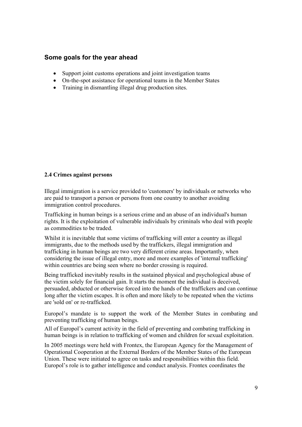# **Some goals for the year ahead**

- Support joint customs operations and joint investigation teams
- On-the-spot assistance for operational teams in the Member States
- Training in dismantling illegal drug production sites.

### **2.4 Crimes against persons**

Illegal immigration is a service provided to 'customers' by individuals or networks who are paid to transport a person or persons from one country to another avoiding immigration control procedures.

Trafficking in human beings is a serious crime and an abuse of an individual's human rights. It is the exploitation of vulnerable individuals by criminals who deal with people as commodities to be traded.

Whilst it is inevitable that some victims of trafficking will enter a country as illegal immigrants, due to the methods used by the traffickers, illegal immigration and trafficking in human beings are two very different crime areas. Importantly, when considering the issue of illegal entry, more and more examples of 'internal trafficking' within countries are being seen where no border crossing is required.

Being trafficked inevitably results in the sustained physical and psychological abuse of the victim solely for financial gain. It starts the moment the individual is deceived, persuaded, abducted or otherwise forced into the hands of the traffickers and can continue long after the victim escapes. It is often and more likely to be repeated when the victims are 'sold on' or re-trafficked.

Europol's mandate is to support the work of the Member States in combating and preventing trafficking of human beings.

All of Europol's current activity in the field of preventing and combating trafficking in human beings is in relation to trafficking of women and children for sexual exploitation.

In 2005 meetings were held with Frontex, the European Agency for the Management of Operational Cooperation at the External Borders of the Member States of the European Union. These were initiated to agree on tasks and responsibilities within this field. Europol's role is to gather intelligence and conduct analysis. Frontex coordinates the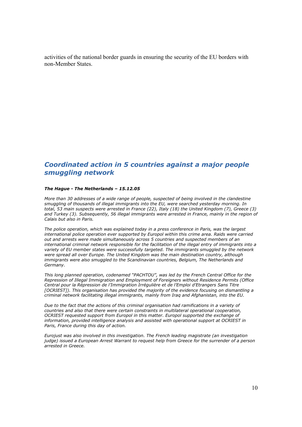activities of the national border guards in ensuring the security of the EU borders with non-Member States.

# *Coordinated action in 5 countries against a major people smuggling network*

#### *The Hague - The Netherlands – 15.12.05*

*More than 30 addresses of a wide range of people, suspected of being involved in the clandestine smuggling of thousands of illegal immigrants into the EU, were searched yesterday morning. In total, 53 main suspects were arrested in France (22), Italy (18) the United Kingdom (7), Greece (3) and Turkey (3). Subsequently, 56 illegal immigrants were arrested in France, mainly in the region of Calais but also in Paris.* 

*The police operation, which was explained today in a press conference in Paris, was the largest international police operation ever supported by Europol within this crime area. Raids were carried out and arrests were made simultaneously across 5 countries and suspected members of an international criminal network responsible for the facilitation of the illegal entry of immigrants into a variety of EU member states were successfully targeted. The immigrants smuggled by the network were spread all over Europe. The United Kingdom was the main destination country, although*  immigrants were also smuggled to the Scandinavian countries, Belgium, The Netherlands and *Germany.* 

*This long planned operation, codenamed "PACHTOU", was led by the French Central Office for the Repression of Illegal Immigration and Employment of Foreigners without Residence Permits (Office Central pour la Répression de l'Immigration Irrégulière et de l'Emploi d'Etrangers Sans Titre [OCRIEST]). This organisation has provided the majority of the evidence focusing on dismantling a criminal network facilitating illegal immigrants, mainly from Iraq and Afghanistan, into the EU.* 

*Due to the fact that the actions of this criminal organisation had ramifications in a variety of countries and also that there were certain constraints in multilateral operational cooperation, OCRIEST requested support from Europol in this matter. Europol supported the exchange of information, provided intelligence analysis and assisted with operational support at OCRIEST in Paris, France during this day of action.* 

*Eurojust was also involved in this investigation. The French leading magistrate (an investigation judge) issued a European Arrest Warrant to request help from Greece for the surrender of a person arrested in Greece.*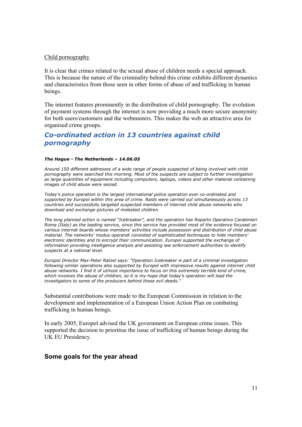#### Child pornography

It is clear that crimes related to the sexual abuse of children needs a special approach. This is because the nature of the criminality behind this crime exhibits different dynamics and characteristics from those seen in other forms of abuse of and trafficking in human beings.

The internet features prominently in the distribution of child pornography. The evolution of payment systems through the internet is now providing a much more secure anonymity for both users/customers and the webmasters. This makes the web an attractive area for organised crime groups.

# *Co-ordinated action in 13 countries against child pornography*

#### *The Hague - The Netherlands – 14.06.05*

*Around 150 different addresses of a wide range of people suspected of being involved with child pornography were searched this morning. Most of the suspects are subject to further investigation as large quantities of equipment including computers, laptops, videos and other material containing images of child abuse were seized.* 

*Today's police operation is the largest international police operation ever co-ordinated and supported by Europol within this area of crime. Raids were carried out simultaneously across 13 countries and successfully targeted suspected members of internet child abuse networks who download and exchange pictures of molested children.* 

*The long planned action is named "Icebreaker", and the operation has Reparto Operativo Carabinieri Roma (Italy) as the leading service, since this service has provided most of the evidence focused on various internet boards whose members' activities include possession and distribution of child abuse material. The networks' modus operandi consisted of sophisticated techniques to hide members' electronic identities and to encrypt their communication. Europol supported the exchange of information providing intelligence analysis and assisting law enforcement authorities to identify suspects at a national level.* 

*Europol Director Max-Peter Ratzel says: "Operation Icebreaker is part of a criminal investigation following similar operations also supported by Europol with impressive results against internet child abuse networks. I find it of utmost importance to focus on this extremely terrible kind of crime, which involves the abuse of children, so it is my hope that today's operation will lead the investigators to some of the producers behind these evil deeds."* 

Substantial contributions were made to the European Commission in relation to the development and implementation of a European Union Action Plan on combating trafficking in human beings.

In early 2005, Europol advised the UK government on European crime issues. This supported the decision to prioritise the issue of trafficking of human beings during the UK EU Presidency.

#### **Some goals for the year ahead**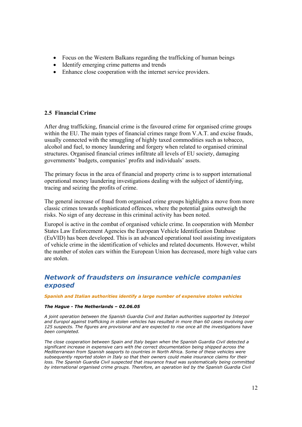- Focus on the Western Balkans regarding the trafficking of human beings
- Identify emerging crime patterns and trends
- Enhance close cooperation with the internet service providers.

### **2.5 Financial Crime**

After drug trafficking, financial crime is the favoured crime for organised crime groups within the EU. The main types of financial crimes range from V.A.T. and excise frauds, usually connected with the smuggling of highly taxed commodities such as tobacco, alcohol and fuel, to money laundering and forgery when related to organised criminal structures. Organised financial crimes infiltrate all levels of EU society, damaging governments' budgets, companies' profits and individuals' assets.

The primary focus in the area of financial and property crime is to support international operational money laundering investigations dealing with the subject of identifying, tracing and seizing the profits of crime.

The general increase of fraud from organised crime groups highlights a move from more classic crimes towards sophisticated offences, where the potential gains outweigh the risks. No sign of any decrease in this criminal activity has been noted.

Europol is active in the combat of organised vehicle crime. In cooperation with Member States Law Enforcement Agencies the European Vehicle Identification Database (EuVID) has been developed. This is an advanced operational tool assisting investigators of vehicle crime in the identification of vehicles and related documents. However, whilst the number of stolen cars within the European Union has decreased, more high value cars are stolen.

# *Network of fraudsters on insurance vehicle companies exposed*

*Spanish and Italian authorities identify a large number of expensive stolen vehicles* 

#### *The Hague - The Netherlands – 02.06.05*

*A joint operation between the Spanish Guardia Civil and Italian authorities supported by Interpol and Europol against trafficking in stolen vehicles has resulted in more than 60 cases involving over 125 suspects. The figures are provisional and are expected to rise once all the investigations have been completed.* 

*The close cooperation between Spain and Italy began when the Spanish Guardia Civil detected a significant increase in expensive cars with the correct documentation being shipped across the Mediterranean from Spanish seaports to countries in North Africa. Some of these vehicles were subsequently reported stolen in Italy so that their owners could make insurance claims for their*  loss. The Spanish Guardia Civil suspected that insurance fraud was systematically being committed *by international organised crime groups. Therefore, an operation led by the Spanish Guardia Civil*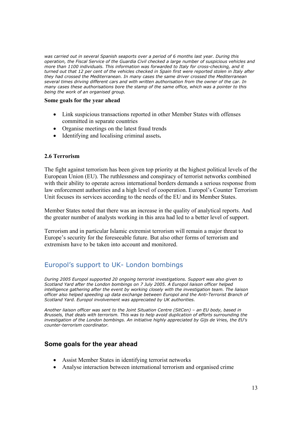*was carried out in several Spanish seaports over a period of 6 months last year. During this operation, the Fiscal Service of the Guardia Civil checked a large number of suspicious vehicles and more than 1100 individuals. This information was forwarded to Italy for cross-checking, and it turned out that 12 per cent of the vehicles checked in Spain first were reported stolen in Italy after they had crossed the Mediterranean. In many cases the same driver crossed the Mediterranean several times driving different cars and with written authorisation from the owner of the car. In many cases these authorisations bore the stamp of the same office, which was a pointer to this being the work of an organised group.* 

#### **Some goals for the year ahead**

- Link suspicious transactions reported in other Member States with offenses committed in separate countries
- Organise meetings on the latest fraud trends
- Identifying and localising criminal assets**.**

#### **2.6 Terrorism**

The fight against terrorism has been given top priority at the highest political levels of the European Union (EU). The ruthlessness and conspiracy of terrorist networks combined with their ability to operate across international borders demands a serious response from law enforcement authorities and a high level of cooperation. Europol's Counter Terrorism Unit focuses its services according to the needs of the EU and its Member States.

Member States noted that there was an increase in the quality of analytical reports. And the greater number of analysts working in this area had led to a better level of support.

Terrorism and in particular Islamic extremist terrorism will remain a major threat to Europe's security for the foreseeable future. But also other forms of terrorism and extremism have to be taken into account and monitored.

# Europol's support to UK- London bombings

*During 2005 Europol supported 20 ongoing terrorist investigations. Support was also given to Scotland Yard after the London bombings on 7 July 2005. A Europol liaison officer helped intelligence gathering after the event by working closely with the investigation team. The liaison officer also helped speeding up data exchange between Europol and the Anti-Terrorist Branch of Scotland Yard. Europol involvement was appreciated by UK authorities.* 

*Another liaison officer was sent to the Joint Situation Centre (SitCen) – an EU body, based in Brussels, that deals with terrorism. This was to help avoid duplication of efforts surrounding the investigation of the London bombings. An initiative highly appreciated by Gijs de Vries, the EU's counter-terrorism coordinator.* 

# **Some goals for the year ahead**

- Assist Member States in identifying terrorist networks
- Analyse interaction between international terrorism and organised crime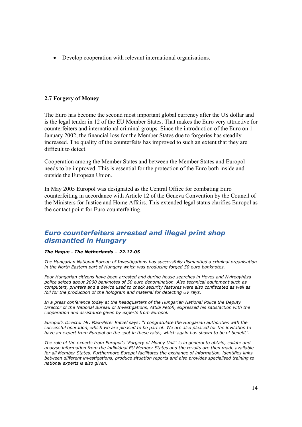• Develop cooperation with relevant international organisations.

#### **2.7 Forgery of Money**

The Euro has become the second most important global currency after the US dollar and is the legal tender in 12 of the EU Member States. That makes the Euro very attractive for counterfeiters and international criminal groups. Since the introduction of the Euro on 1 January 2002, the financial loss for the Member States due to forgeries has steadily increased. The quality of the counterfeits has improved to such an extent that they are difficult to detect.

Cooperation among the Member States and between the Member States and Europol needs to be improved. This is essential for the protection of the Euro both inside and outside the European Union.

In May 2005 Europol was designated as the Central Office for combating Euro counterfeiting in accordance with Article 12 of the Geneva Convention by the Council of the Ministers for Justice and Home Affairs. This extended legal status clarifies Europol as the contact point for Euro counterfeiting.

# *Euro counterfeiters arrested and illegal print shop dismantled in Hungary*

#### *The Hague - The Netherlands – 22.12.05*

*The Hungarian National Bureau of Investigations has successfully dismantled a criminal organisation in the North Eastern part of Hungary which was producing forged 50 euro banknotes.* 

*Four Hungarian citizens have been arrested and during house searches in Heves and Nyíregyháza police seized about 2000 banknotes of 50 euro denomination. Also technical equipment such as computers, printers and a device used to check security features were also confiscated as well as foil for the production of the hologram and material for detecting UV rays.* 

*In a press conference today at the headquarters of the Hungarian National Police the Deputy Director of the National Bureau of Investigations, Attila Petöfi, expressed his satisfaction with the cooperation and assistance given by experts from Europol.* 

*Europol's Director Mr. Max-Peter Ratzel says: "I congratulate the Hungarian authorities with the successful operation, which we are pleased to be part of. We are also pleased for the invitation to have an expert from Europol on the spot in these raids, which again has shown to be of benefit".* 

*The role of the experts from Europol's "Forgery of Money Unit" is in general to obtain, collate and analyse information from the individual EU Member States and the results are then made available for all Member States. Furthermore Europol facilitates the exchange of information, identifies links between different investigations, produce situation reports and also provides specialised training to national experts is also given.*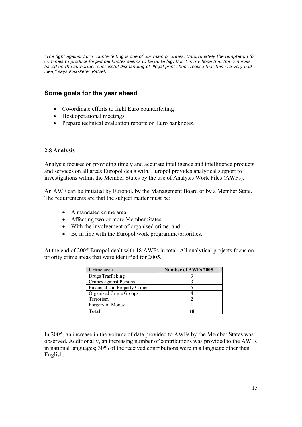*"The fight against Euro counterfeiting is one of our main priorities. Unfortunately the temptation for criminals to produce forged banknotes seems to be quite big. But it is my hope that the criminals based on the authorities successful dismantling of illegal print shops realise that this is a very bad idea," says Max-Peter Ratzel.* 

# **Some goals for the year ahead**

- Co-ordinate efforts to fight Euro counterfeiting
- Host operational meetings
- Prepare technical evaluation reports on Euro banknotes.

#### **2.8 Analysis**

Analysis focuses on providing timely and accurate intelligence and intelligence products and services on all areas Europol deals with. Europol provides analytical support to investigations within the Member States by the use of Analysis Work Files (AWFs).

An AWF can be initiated by Europol, by the Management Board or by a Member State. The requirements are that the subject matter must be:

- A mandated crime area
- Affecting two or more Member States
- With the involvement of organised crime, and
- Be in line with the Europol work programme/priorities.

At the end of 2005 Europol dealt with 18 AWFs in total. All analytical projects focus on priority crime areas that were identified for 2005.

| Crime area                   | <b>Number of AWFs 2005</b> |
|------------------------------|----------------------------|
| Drugs Trafficking            |                            |
| Crimes against Persons       |                            |
| Financial and Property Crime |                            |
| Organised Crime Groups       |                            |
| Terrorism                    |                            |
| Forgery of Money             |                            |
| Total                        |                            |

In 2005, an increase in the volume of data provided to AWFs by the Member States was observed. Additionally, an increasing number of contributions was provided to the AWFs in national languages; 30% of the received contributions were in a language other than English.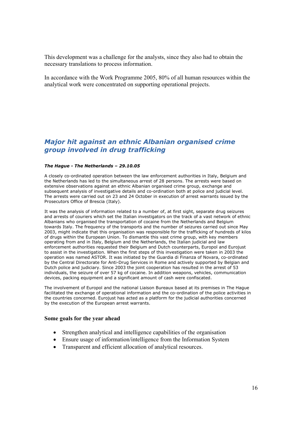This development was a challenge for the analysts, since they also had to obtain the necessary translations to process information.

In accordance with the Work Programme 2005, 80% of all human resources within the analytical work were concentrated on supporting operational projects.

# *Major hit against an ethnic Albanian organised crime group involved in drug trafficking*

#### *The Hague - The Netherlands – 29.10.05*

A closely co-ordinated operation between the law enforcement authorities in Italy, Belgium and the Netherlands has led to the simultaneous arrest of 28 persons. The arrests were based on extensive observations against an ethnic Albanian organised crime group, exchange and subsequent analysis of investigative details and co-ordination both at police and judicial level. The arrests were carried out on 23 and 24 October in execution of arrest warrants issued by the Prosecutors Office of Brescia (Italy).

It was the analysis of information related to a number of, at first sight, separate drug seizures and arrests of couriers which set the Italian investigators on the track of a vast network of ethnic Albanians who organised the transportation of cocaine from the Netherlands and Belgium towards Italy. The frequency of the transports and the number of seizures carried out since May 2003, might indicate that this organisation was responsible for the trafficking of hundreds of kilos of drugs within the European Union. To dismantle this vast crime group, with key members operating from and in Italy, Belgium and the Netherlands, the Italian judicial and law enforcement authorities requested their Belgium and Dutch counterparts, Europol and Eurojust to assist in the investigation. When the first steps of this investigation were taken in 2003 the operation was named ASTOR. It was initiated by the Guardia di Finanza of Novara, co-ordinated by the Central Directorate for Anti-Drug Services in Rome and actively supported by Belgian and Dutch police and judiciary. Since 2003 the joint cooperation has resulted in the arrest of 53 individuals, the seizure of over 57 kg of cocaine. In addition weapons, vehicles, communication devices, packing equipment and a significant amount of cash were confiscated.

The involvement of Europol and the national Liaison Bureaux based at its premises in The Hague facilitated the exchange of operational information and the co-ordination of the police activities in the countries concerned. Eurojust has acted as a platform for the judicial authorities concerned by the execution of the European arrest warrants.

#### **Some goals for the year ahead**

- Strengthen analytical and intelligence capabilities of the organisation
- Ensure usage of information/intelligence from the Information System
- Transparent and efficient allocation of analytical resources.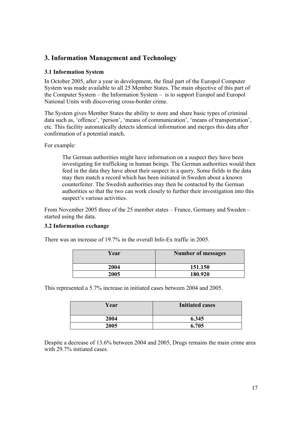# **3. Information Management and Technology**

#### **3.1 Information System**

In October 2005, after a year in development, the final part of the Europol Computer System was made available to all 25 Member States. The main objective of this part of the Computer System – the Information System – is to support Europol and Europol National Units with discovering cross-border crime.

The System gives Member States the ability to store and share basic types of criminal data such as, 'offence', 'person', 'means of communication', 'means of transportation', etc. This facility automatically detects identical information and merges this data after confirmation of a potential match.

For example:

The German authorities might have information on a suspect they have been investigating for trafficking in human beings. The German authorities would then feed in the data they have about their suspect in a query. Some fields in the data may then match a record which has been initiated in Sweden about a known counterfeiter. The Swedish authorities may then be contacted by the German authorities so that the two can work closely to further their investigation into this suspect's various activities.

From November 2005 three of the 25 member states – France, Germany and Sweden – started using the data.

#### **3.2 Information exchange**

There was an increase of 19.7% in the overall Info-Ex traffic in 2005.

| Year | <b>Number of messages</b> |
|------|---------------------------|
| 2004 | 151.150                   |
| 2005 | 180.920                   |

This represented a 5.7% increase in initiated cases between 2004 and 2005.

| Year | <b>Initiated cases</b> |
|------|------------------------|
| 2004 | 6.345                  |
| 2005 | 6.705                  |

Despite a decrease of 13.6% between 2004 and 2005, Drugs remains the main crime area with 29.7% initiated cases.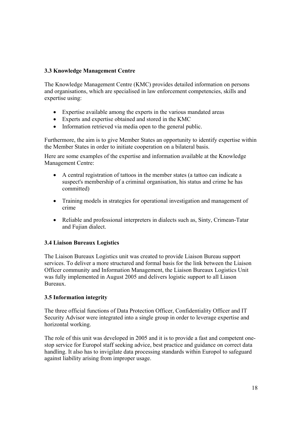# **3.3 Knowledge Management Centre**

The Knowledge Management Centre (KMC) provides detailed information on persons and organisations, which are specialised in law enforcement competencies, skills and expertise using:

- Expertise available among the experts in the various mandated areas
- Experts and expertise obtained and stored in the KMC
- Information retrieved via media open to the general public.

Furthermore, the aim is to give Member States an opportunity to identify expertise within the Member States in order to initiate cooperation on a bilateral basis.

Here are some examples of the expertise and information available at the Knowledge Management Centre:

- A central registration of tattoos in the member states (a tattoo can indicate a suspect's membership of a criminal organisation, his status and crime he has committed)
- Training models in strategies for operational investigation and management of crime
- Reliable and professional interpreters in dialects such as, Sinty, Crimean-Tatar and Fujian dialect.

# **3.4 Liaison Bureaux Logistics**

The Liaison Bureaux Logistics unit was created to provide Liaison Bureau support services. To deliver a more structured and formal basis for the link between the Liaison Officer community and Information Management, the Liaison Bureaux Logistics Unit was fully implemented in August 2005 and delivers logistic support to all Liason Bureaux.

# **3.5 Information integrity**

The three official functions of Data Protection Officer, Confidentiality Officer and IT Security Advisor were integrated into a single group in order to leverage expertise and horizontal working.

The role of this unit was developed in 2005 and it is to provide a fast and competent onestop service for Europol staff seeking advice, best practice and guidance on correct data handling. It also has to invigilate data processing standards within Europol to safeguard against liability arising from improper usage.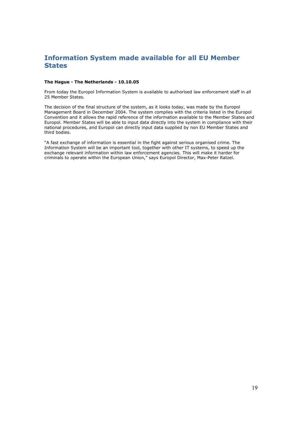# **Information System made available for all EU Member States**

#### **The Hague - The Netherlands - 10.10.05**

From today the Europol Information System is available to authorised law enforcement staff in all 25 Member States.

The decision of the final structure of the system, as it looks today, was made by the Europol Management Board in December 2004. The system complies with the criteria listed in the Europol Convention and it allows the rapid reference of the information available to the Member States and Europol. Member States will be able to input data directly into the system in compliance with their national procedures, and Europol can directly input data supplied by non EU Member States and third bodies.

"A fast exchange of information is essential in the fight against serious organised crime. The Information System will be an important tool, together with other IT systems, to speed up the exchange relevant information within law enforcement agencies. This will make it harder for criminals to operate within the European Union," says Europol Director, Max-Peter Ratzel.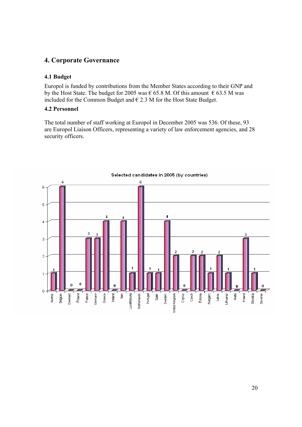# **4. Corporate Governance**

### **4.1 Budget**

Europol is funded by contributions from the Member States according to their GNP and by the Host State. The budget for 2005 was  $\epsilon$  65.8 M. Of this amount  $\epsilon$  63.5 M was included for the Common Budget and  $\epsilon$  2.3 M for the Host State Budget.

### **4.2 Personnel**

The total number of staff working at Europol in December 2005 was 536. Of these, 93 are Europol Liaison Officers, representing a variety of law enforcement agencies, and 28 security officers.

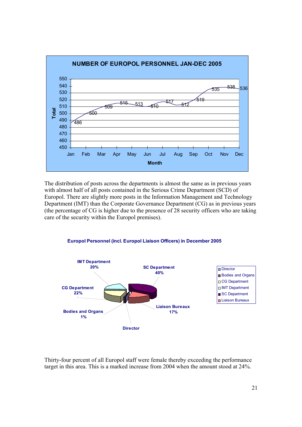

The distribution of posts across the departments is almost the same as in previous years with almost half of all posts contained in the Serious Crime Department (SCD) of Europol. There are slightly more posts in the Information Management and Technology Department (IMT) than the Corporate Governance Department (CG) as in previous years (the percentage of CG is higher due to the presence of 28 security officers who are taking care of the security within the Europol premises).

**Europol Personnel (incl. Europol Liaison Officers) in December 2005**



Thirty-four percent of all Europol staff were female thereby exceeding the performance target in this area. This is a marked increase from 2004 when the amount stood at 24%.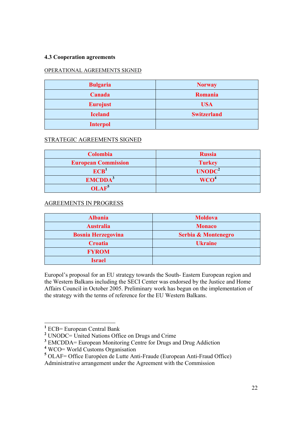#### **4.3 Cooperation agreements**

### OPERATIONAL AGREEMENTS SIGNED

| <b>Bulgaria</b> | <b>Norway</b>      |
|-----------------|--------------------|
| <b>Canada</b>   | <b>Romania</b>     |
| <b>Eurojust</b> | <b>USA</b>         |
| <b>Iceland</b>  | <b>Switzerland</b> |
| <b>Interpol</b> |                    |

# STRATEGIC AGREEMENTS SIGNED

| <b>Colombia</b>            | <b>Russia</b>      |
|----------------------------|--------------------|
| <b>European Commission</b> | <b>Turkey</b>      |
| ECB <sup>1</sup>           | UNODC <sup>2</sup> |
| <b>EMCDDA</b> <sup>3</sup> | WCO <sup>4</sup>   |
| OLAF <sup>5</sup>          |                    |

# AGREEMENTS IN PROGRESS

| <b>Albania</b>            | <b>Moldova</b>      |
|---------------------------|---------------------|
| <b>Australia</b>          | <b>Monaco</b>       |
| <b>Bosnia Herzegovina</b> | Serbia & Montenegro |
| <b>Croatia</b>            | <b>Ukraine</b>      |
| <b>FYROM</b>              |                     |
| <b>Israel</b>             |                     |

Europol's proposal for an EU strategy towards the South- Eastern European region and the Western Balkans including the SECI Center was endorsed by the Justice and Home Affairs Council in October 2005. Preliminary work has begun on the implementation of the strategy with the terms of reference for the EU Western Balkans.

 **1** ECB= European Central Bank

<sup>&</sup>lt;sup>2</sup> UNODC= United Nations Office on Drugs and Crime

<sup>&</sup>lt;sup>3</sup> EMCDDA= European Monitoring Centre for Drugs and Drug Addiction

**<sup>4</sup>** WCO= World Customs Organisation

**<sup>5</sup>** OLAF= Office Européen de Lutte Anti-Fraude (European Anti-Fraud Office) Administrative arrangement under the Agreement with the Commission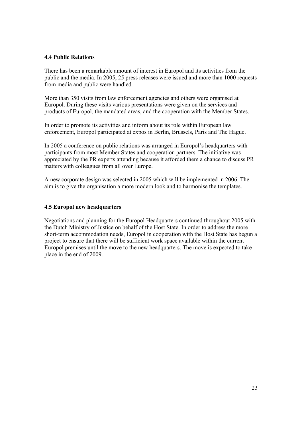#### **4.4 Public Relations**

There has been a remarkable amount of interest in Europol and its activities from the public and the media. In 2005, 25 press releases were issued and more than 1000 requests from media and public were handled.

More than 350 visits from law enforcement agencies and others were organised at Europol. During these visits various presentations were given on the services and products of Europol, the mandated areas, and the cooperation with the Member States.

In order to promote its activities and inform about its role within European law enforcement, Europol participated at expos in Berlin, Brussels, Paris and The Hague.

In 2005 a conference on public relations was arranged in Europol's headquarters with participants from most Member States and cooperation partners. The initiative was appreciated by the PR experts attending because it afforded them a chance to discuss PR matters with colleagues from all over Europe.

A new corporate design was selected in 2005 which will be implemented in 2006. The aim is to give the organisation a more modern look and to harmonise the templates.

#### **4.5 Europol new headquarters**

Negotiations and planning for the Europol Headquarters continued throughout 2005 with the Dutch Ministry of Justice on behalf of the Host State. In order to address the more short-term accommodation needs, Europol in cooperation with the Host State has begun a project to ensure that there will be sufficient work space available within the current Europol premises until the move to the new headquarters. The move is expected to take place in the end of 2009.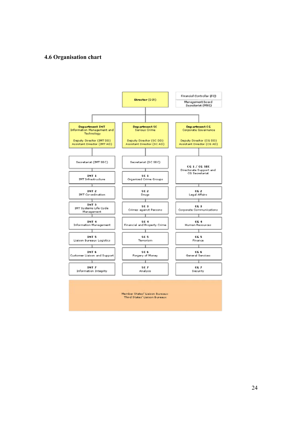#### **4.6 Organisation chart**



Member States' Liaison Bureaux Third States' Liaison Bureaux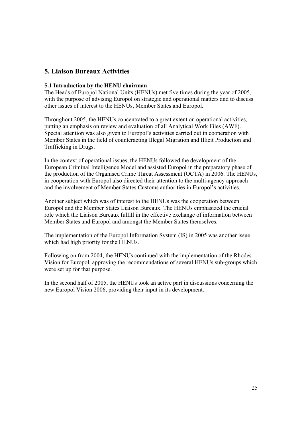# **5. Liaison Bureaux Activities**

#### **5.1 Introduction by the HENU chairman**

The Heads of Europol National Units (HENUs) met five times during the year of 2005, with the purpose of advising Europol on strategic and operational matters and to discuss other issues of interest to the HENUs, Member States and Europol.

Throughout 2005, the HENUs concentrated to a great extent on operational activities, putting an emphasis on review and evaluation of all Analytical Work Files (AWF). Special attention was also given to Europol's activities carried out in cooperation with Member States in the field of counteracting Illegal Migration and Illicit Production and Trafficking in Drugs.

In the context of operational issues, the HENUs followed the development of the European Criminal Intelligence Model and assisted Europol in the preparatory phase of the production of the Organised Crime Threat Assessment (OCTA) in 2006. The HENUs, in cooperation with Europol also directed their attention to the multi-agency approach and the involvement of Member States Customs authorities in Europol's activities.

Another subject which was of interest to the HENUs was the cooperation between Europol and the Member States Liaison Bureaux. The HENUs emphasized the crucial role which the Liaison Bureaux fulfill in the effective exchange of information between Member States and Europol and amongst the Member States themselves.

The implementation of the Europol Information System (IS) in 2005 was another issue which had high priority for the HENUs.

Following on from 2004, the HENUs continued with the implementation of the Rhodes Vision for Europol, approving the recommendations of several HENUs sub-groups which were set up for that purpose.

In the second half of 2005, the HENUs took an active part in discussions concerning the new Europol Vision 2006, providing their input in its development.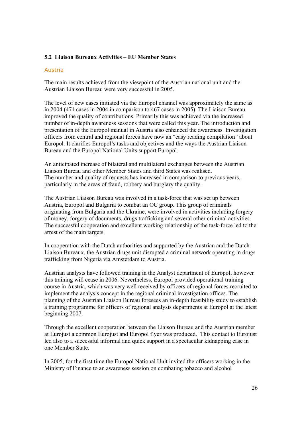### **5.2 Liaison Bureaux Activities – EU Member States**

#### Austria

The main results achieved from the viewpoint of the Austrian national unit and the Austrian Liaison Bureau were very successful in 2005.

The level of new cases initiated via the Europol channel was approximately the same as in 2004 (471 cases in 2004 in comparison to 467 cases in 2005). The Liaison Bureau improved the quality of contributions. Primarily this was achieved via the increased number of in-depth awareness sessions that were called this year. The introduction and presentation of the Europol manual in Austria also enhanced the awareness. Investigation officers from central and regional forces have now an "easy reading compilation" about Europol. It clarifies Europol's tasks and objectives and the ways the Austrian Liaison Bureau and the Europol National Units support Europol.

An anticipated increase of bilateral and multilateral exchanges between the Austrian Liaison Bureau and other Member States and third States was realised. The number and quality of requests has increased in comparison to previous years, particularly in the areas of fraud, robbery and burglary the quality.

The Austrian Liaison Bureau was involved in a task-force that was set up between Austria, Europol and Bulgaria to combat an OC group. This group of criminals originating from Bulgaria and the Ukraine, were involved in activities including forgery of money, forgery of documents, drugs trafficking and several other criminal activities. The successful cooperation and excellent working relationship of the task-force led to the arrest of the main targets.

In cooperation with the Dutch authorities and supported by the Austrian and the Dutch Liaison Bureaux, the Austrian drugs unit disrupted a criminal network operating in drugs trafficking from Nigeria via Amsterdam to Austria.

Austrian analysts have followed training in the Analyst department of Europol; however this training will cease in 2006. Nevertheless, Europol provided operational training course in Austria, which was very well received by officers of regional forces recruited to implement the analysis concept in the regional criminal investigation offices. The planning of the Austrian Liaison Bureau foresees an in-depth feasibility study to establish a training programme for officers of regional analysis departments at Europol at the latest beginning 2007.

Through the excellent cooperation between the Liaison Bureau and the Austrian member at Eurojust a common Eurojust and Europol flyer was produced. This contact to Eurojust led also to a successful informal and quick support in a spectacular kidnapping case in one Member State.

In 2005, for the first time the Europol National Unit invited the officers working in the Ministry of Finance to an awareness session on combating tobacco and alcohol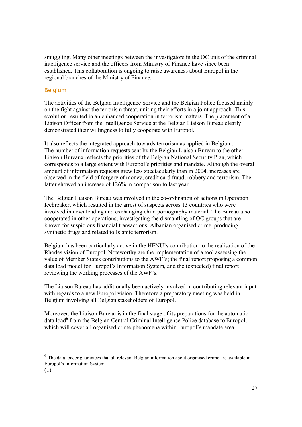smuggling. Many other meetings between the investigators in the OC unit of the criminal intelligence service and the officers from Ministry of Finance have since been established. This collaboration is ongoing to raise awareness about Europol in the regional branches of the Ministry of Finance.

#### Belgium

The activities of the Belgian Intelligence Service and the Belgian Police focused mainly on the fight against the terrorism threat, uniting their efforts in a joint approach. This evolution resulted in an enhanced cooperation in terrorism matters. The placement of a Liaison Officer from the Intelligence Service at the Belgian Liaison Bureau clearly demonstrated their willingness to fully cooperate with Europol.

It also reflects the integrated approach towards terrorism as applied in Belgium. The number of information requests sent by the Belgian Liaison Bureau to the other Liaison Bureaux reflects the priorities of the Belgian National Security Plan, which corresponds to a large extent with Europol's priorities and mandate. Although the overall amount of information requests grew less spectacularly than in 2004, increases are observed in the field of forgery of money, credit card fraud, robbery and terrorism. The latter showed an increase of 126% in comparison to last year.

The Belgian Liaison Bureau was involved in the co-ordination of actions in Operation Icebreaker, which resulted in the arrest of suspects across 13 countries who were involved in downloading and exchanging child pornography material. The Bureau also cooperated in other operations, investigating the dismantling of OC groups that are known for suspicious financial transactions, Albanian organised crime, producing synthetic drugs and related to Islamic terrorism.

Belgium has been particularly active in the HENU's contribution to the realisation of the Rhodes vision of Europol. Noteworthy are the implementation of a tool assessing the value of Member States contributions to the AWF's; the final report proposing a common data load model for Europol's Information System, and the (expected) final report reviewing the working processes of the AWF's.

The Liaison Bureau has additionally been actively involved in contributing relevant input with regards to a new Europol vision. Therefore a preparatory meeting was held in Belgium involving all Belgian stakeholders of Europol.

Moreover, the Liaison Bureau is in the final stage of its preparations for the automatic data load<sup>6</sup> from the Belgian Central Criminal Intelligence Police database to Europol, which will cover all organised crime phenomena within Europol's mandate area.

**<sup>6</sup>** The data loader guarantees that all relevant Belgian information about organised crime are available in Europol's Information System.

<sup>(1)</sup>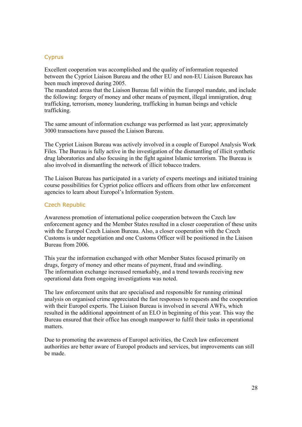#### Cyprus

Excellent cooperation was accomplished and the quality of information requested between the Cypriot Liaison Bureau and the other EU and non-EU Liaison Bureaux has been much improved during 2005.

The mandated areas that the Liaison Bureau fall within the Europol mandate, and include the following: forgery of money and other means of payment, illegal immigration, drug trafficking, terrorism, money laundering, trafficking in human beings and vehicle trafficking.

The same amount of information exchange was performed as last year; approximately 3000 transactions have passed the Liaison Bureau.

The Cypriot Liaison Bureau was actively involved in a couple of Europol Analysis Work Files. The Bureau is fully active in the investigation of the dismantling of illicit synthetic drug laboratories and also focusing in the fight against Islamic terrorism. The Bureau is also involved in dismantling the network of illicit tobacco traders.

The Liaison Bureau has participated in a variety of experts meetings and initiated training course possibilities for Cypriot police officers and officers from other law enforcement agencies to learn about Europol's Information System.

#### Czech Republic

Awareness promotion of international police cooperation between the Czech law enforcement agency and the Member States resulted in a closer cooperation of these units with the Europol Czech Liaison Bureau. Also, a closer cooperation with the Czech Customs is under negotiation and one Customs Officer will be positioned in the Liaison Bureau from 2006.

This year the information exchanged with other Member States focused primarily on drugs, forgery of money and other means of payment, fraud and swindling. The information exchange increased remarkably, and a trend towards receiving new operational data from ongoing investigations was noted.

The law enforcement units that are specialised and responsible for running criminal analysis on organised crime appreciated the fast responses to requests and the cooperation with their Europol experts. The Liaison Bureau is involved in several AWFs, which resulted in the additional appointment of an ELO in beginning of this year. This way the Bureau ensured that their office has enough manpower to fulfil their tasks in operational matters.

Due to promoting the awareness of Europol activities, the Czech law enforcement authorities are better aware of Europol products and services, but improvements can still be made.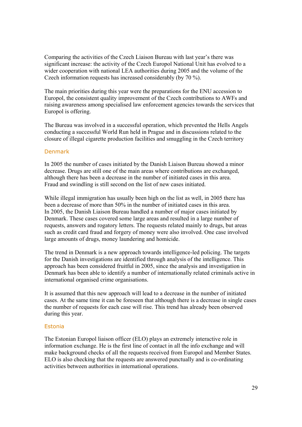Comparing the activities of the Czech Liaison Bureau with last year's there was significant increase: the activity of the Czech Europol National Unit has evolved to a wider cooperation with national LEA authorities during 2005 and the volume of the Czech information requests has increased considerably (by 70 %).

The main priorities during this year were the preparations for the ENU accession to Europol, the consistent quality improvement of the Czech contributions to AWFs and raising awareness among specialised law enforcement agencies towards the services that Europol is offering.

The Bureau was involved in a successful operation, which prevented the Hells Angels conducting a successful World Run held in Prague and in discussions related to the closure of illegal cigarette production facilities and smuggling in the Czech territory

#### Denmark

In 2005 the number of cases initiated by the Danish Liaison Bureau showed a minor decrease. Drugs are still one of the main areas where contributions are exchanged, although there has been a decrease in the number of initiated cases in this area. Fraud and swindling is still second on the list of new cases initiated.

While illegal immigration has usually been high on the list as well, in 2005 there has been a decrease of more than 50% in the number of initiated cases in this area. In 2005, the Danish Liaison Bureau handled a number of major cases initiated by Denmark. These cases covered some large areas and resulted in a large number of requests, answers and rogatory letters. The requests related mainly to drugs, but areas such as credit card fraud and forgery of money were also involved. One case involved large amounts of drugs, money laundering and homicide.

The trend in Denmark is a new approach towards intelligence-led policing. The targets for the Danish investigations are identified through analysis of the intelligence. This approach has been considered fruitful in 2005, since the analysis and investigation in Denmark has been able to identify a number of internationally related criminals active in international organised crime organisations.

It is assumed that this new approach will lead to a decrease in the number of initiated cases. At the same time it can be foreseen that although there is a decrease in single cases the number of requests for each case will rise. This trend has already been observed during this year.

#### **Estonia**

The Estonian Europol liaison officer (ELO) plays an extremely interactive role in information exchange. He is the first line of contact in all the info exchange and will make background checks of all the requests received from Europol and Member States. ELO is also checking that the requests are answered punctually and is co-ordinating activities between authorities in international operations.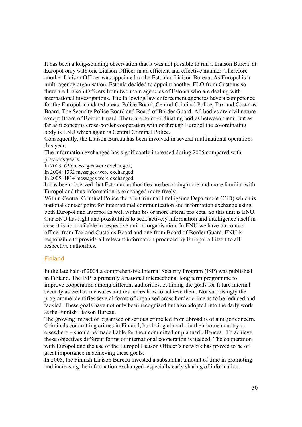It has been a long-standing observation that it was not possible to run a Liaison Bureau at Europol only with one Liaison Officer in an efficient and effective manner. Therefore another Liaison Officer was appointed to the Estonian Liaison Bureau. As Europol is a multi agency organisation, Estonia decided to appoint another ELO from Customs so there are Liaison Officers from two main agencies of Estonia who are dealing with international investigations. The following law enforcement agencies have a competence for the Europol mandated areas: Police Board, Central Criminal Police, Tax and Customs Board, The Security Police Board and Board of Border Guard. All bodies are civil nature except Board of Border Guard. There are no co-ordinating bodies between them. But as far as it concerns cross-border cooperation with or through Europol the co-ordinating body is ENU which again is Central Criminal Police.

Consequently, the Liaison Bureau has been involved in several multinational operations this year.

The information exchanged has significantly increased during 2005 compared with previous years.

In 2003: 625 messages were exchanged;

In 2004: 1332 messages were exchanged;

In 2005: 1814 messages were exchanged.

It has been observed that Estonian authorities are becoming more and more familiar with Europol and thus information is exchanged more freely.

Within Central Criminal Police there is Criminal Intelligence Department (CID) which is national contact point for international communication and information exchange using both Europol and Interpol as well within bi- or more lateral projects. So this unit is ENU. Our ENU has right and possibilities to seek actively information and intelligence itself in case it is not available in respective unit or organisation. In ENU we have on contact officer from Tax and Customs Board and one from Board of Border Guard. ENU is responsible to provide all relevant information produced by Europol all itself to all respective authorities.

#### Finland

In the late half of 2004 a comprehensive Internal Security Program (ISP) was published in Finland. The ISP is primarily a national intersectional long term programme to improve cooperation among different authorities, outlining the goals for future internal security as well as measures and resources how to achieve them. Not surprisingly the programme identifies several forms of organised cross border crime as to be reduced and tackled. These goals have not only been recognised but also adopted into the daily work at the Finnish Liaison Bureau.

The growing impact of organised or serious crime led from abroad is of a major concern. Criminals committing crimes in Finland, but living abroad - in their home country or elsewhere – should be made liable for their committed or planned offences. To achieve these objectives different forms of international cooperation is needed. The cooperation with Europol and the use of the Europol Liaison Officer's network has proved to be of great importance in achieving these goals.

In 2005, the Finnish Liaison Bureau invested a substantial amount of time in promoting and increasing the information exchanged, especially early sharing of information.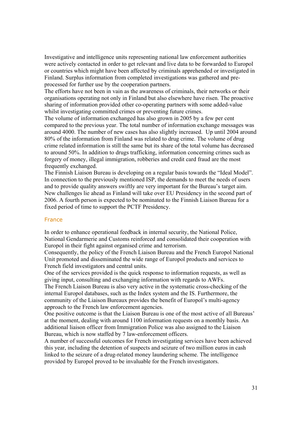Investigative and intelligence units representing national law enforcement authorities were actively contacted in order to get relevant and live data to be forwarded to Europol or countries which might have been affected by criminals apprehended or investigated in Finland. Surplus information from completed investigations was gathered and preprocessed for further use by the cooperation partners.

The efforts have not been in vain as the awareness of criminals, their networks or their organisations operating not only in Finland but also elsewhere have risen. The proactive sharing of information provided other co-operating partners with some added-value whilst investigating committed crimes or preventing future crimes.

The volume of information exchanged has also grown in 2005 by a few per cent compared to the previous year. The total number of information exchange messages was around 4000. The number of new cases has also slightly increased. Up until 2004 around 80% of the information from Finland was related to drug crime. The volume of drug crime related information is still the same but its share of the total volume has decreased to around 50%. In addition to drugs trafficking, information concerning crimes such as forgery of money, illegal immigration, robberies and credit card fraud are the most frequently exchanged.

The Finnish Liaison Bureau is developing on a regular basis towards the "Ideal Model". In connection to the previously mentioned ISP, the demands to meet the needs of users and to provide quality answers swiftly are very important for the Bureau's target aim. New challenges lie ahead as Finland will take over EU Presidency in the second part of 2006. A fourth person is expected to be nominated to the Finnish Liaison Bureau for a fixed period of time to support the PCTF Presidency.

#### France

In order to enhance operational feedback in internal security, the National Police, National Gendarmerie and Customs reinforced and consolidated their cooperation with Europol in their fight against organised crime and terrorism.

Consequently, the policy of the French Liaison Bureau and the French Europol National Unit promoted and disseminated the wide range of Europol products and services to French field investigators and central units.

One of the services provided is the quick response to information requests, as well as giving input, consulting and exchanging information with regards to AWFs.

The French Liaison Bureau is also very active in the systematic cross-checking of the internal Europol databases, such as the Index system and the IS. Furthermore, the community of the Liaison Bureaux provides the benefit of Europol's multi-agency approach to the French law enforcement agencies.

One positive outcome is that the Liaison Bureau is one of the most active of all Bureaus' at the moment, dealing with around 1100 information requests on a monthly basis. An additional liaison officer from Immigration Police was also assigned to the Liaison Bureau, which is now staffed by 7 law-enforcement officers.

A number of successful outcomes for French investigating services have been achieved this year, including the detention of suspects and seizure of two million euros in cash linked to the seizure of a drug-related money laundering scheme. The intelligence provided by Europol proved to be invaluable for the French investigators.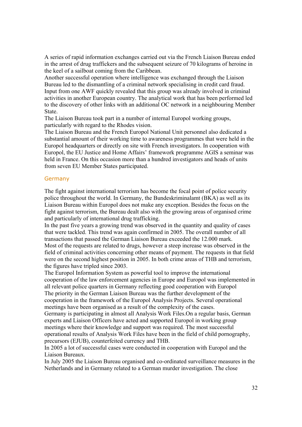A series of rapid information exchanges carried out via the French Liaison Bureau ended in the arrest of drug traffickers and the subsequent seizure of 70 kilograms of heroine in the keel of a sailboat coming from the Caribbean.

Another successful operation where intelligence was exchanged through the Liaison Bureau led to the dismantling of a criminal network specialising in credit card fraud. Input from one AWF quickly revealed that this group was already involved in criminal activities in another European country. The analytical work that has been performed led to the discovery of other links with an additional OC network in a neighbouring Member State.

The Liaison Bureau took part in a number of internal Europol working groups, particularly with regard to the Rhodes vision.

The Liaison Bureau and the French Europol National Unit personnel also dedicated a substantial amount of their working time to awareness programmes that were held in the Europol headquarters or directly on site with French investigators. In cooperation with Europol, the EU Justice and Home Affairs' framework programme AGIS a seminar was held in France. On this occasion more than a hundred investigators and heads of units from seven EU Member States participated.

#### Germany

The fight against international terrorism has become the focal point of police security police throughout the world. In Germany, the Bundeskriminalamt (BKA) as well as its Liaison Bureau within Europol does not make any exception. Besides the focus on the fight against terrorism, the Bureau dealt also with the growing areas of organised crime and particularly of international drug trafficking.

In the past five years a growing trend was observed in the quantity and quality of cases that were tackled. This trend was again confirmed in 2005. The overall number of all transactions that passed the German Liaison Bureau exceeded the 12.000 mark. Most of the requests are related to drugs, however a steep increase was observed in the field of criminal activities concerning other means of payment. The requests in that field were on the second highest position in 2005. In both crime areas of THB and terrorism, the figures have tripled since 2003.

The Europol Information System as powerful tool to improve the international cooperation of the law enforcement agencies in Europe and Europol was implemented in all relevant police quarters in Germany reflecting good cooperation with Europol The priority in the German Liaison Bureau was the further development of the cooperation in the framework of the Europol Analysis Projects. Several operational meetings have been organised as a result of the complexity of the cases. Germany is participating in almost all Analysis Work Files.On a regular basis, German experts and Liaison Officers have acted and supported Europol in working group meetings where their knowledge and support was required. The most successful operational results of Analysis Work Files have been in the field of child pornography,

precursors (EJUB), counterfeited currency and THB.

In 2005 a lot of successful cases were conducted in cooperation with Europol and the Liaison Bureaux.

In July 2005 the Liaison Bureau organised and co-ordinated surveillance measures in the Netherlands and in Germany related to a German murder investigation. The close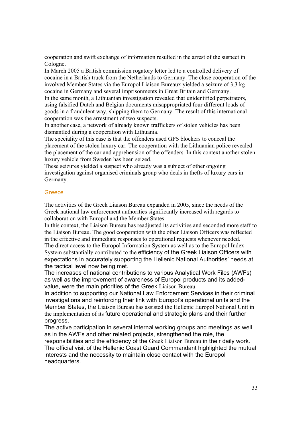cooperation and swift exchange of information resulted in the arrest of the suspect in Cologne.

In March 2005 a British commission rogatory letter led to a controlled delivery of cocaine in a British truck from the Netherlands to Germany. The close cooperation of the involved Member States via the Europol Liaison Bureaux yielded a seizure of 3,3 kg cocaine in Germany and several imprisonments in Great Britain and Germany.

In the same month, a Lithuanian investigation revealed that unidentified perpetrators, using falsified Dutch and Belgian documents misappropriated four different loads of goods in a fraudulent way, shipping them to Germany. The result of this international cooperation was the arrestment of two suspects.

In another case, a network of already known traffickers of stolen vehicles has been dismantled during a cooperation with Lithuania.

The speciality of this case is that the offenders used GPS blockers to conceal the placement of the stolen luxury car. The cooperation with the Lithuanian police revealed the placement of the car and apprehension of the offenders. In this context another stolen luxury vehicle from Sweden has been seized.

These seizures yielded a suspect who already was a subject of other ongoing investigation against organised criminals group who deals in thefts of luxury cars in Germany.

#### Greece

The activities of the Greek Liaison Bureau expanded in 2005, since the needs of the Greek national law enforcement authorities significantly increased with regards to collaboration with Europol and the Member States.

In this context, the Liaison Bureau has readjusted its activities and seconded more staff to the Liaison Bureau. The good cooperation with the other Liaison Officers was reflected in the effective and immediate responses to operational requests whenever needed. The direct access to the Europol Information System as well as to the Europol Index System substantially contributed to the efficiency of the Greek Liaison Officers with expectations in accurately supporting the Hellenic National Authorities' needs at the tactical level now being met.

The increases of national contributions to various Analytical Work Files (AWFs) as well as the improvement of awareness of Europol products and its addedvalue, were the main priorities of the Greek Liaison Bureau.

In addition to supporting our National Law Enforcement Services in their criminal investigations and reinforcing their link with Europol's operational units and the Member States, the Liaison Bureau has assisted the Hellenic Europol National Unit in the implementation of its future operational and strategic plans and their further progress.

The active participation in several internal working groups and meetings as well as in the AWFs and other related projects, strengthened the role, the responsibilities and the efficiency of the Greek Liaison Bureau in their daily work. The official visit of the Hellenic Coast Guard Commandant highlighted the mutual interests and the necessity to maintain close contact with the Europol headquarters.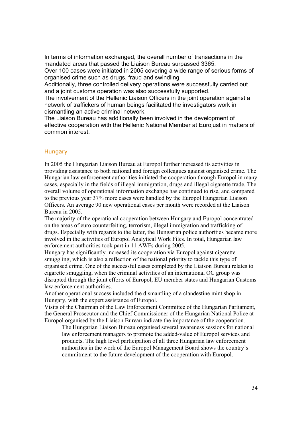In terms of information exchanged, the overall number of transactions in the mandated areas that passed the Liaison Bureau surpassed 3365.

Over 100 cases were initiated in 2005 covering a wide range of serious forms of organised crime such as drugs, fraud and swindling.

Additionally, three controlled delivery operations were successfully carried out and a joint customs operation was also successfully supported.

The involvement of the Hellenic Liaison Officers in the joint operation against a network of traffickers of human beings facilitated the investigators work in dismantling an active criminal network.

The Liaison Bureau has additionally been involved in the development of effective cooperation with the Hellenic National Member at Eurojust in matters of common interest.

#### Hungary

In 2005 the Hungarian Liaison Bureau at Europol further increased its activities in providing assistance to both national and foreign colleagues against organised crime. The Hungarian law enforcement authorities initiated the cooperation through Europol in many cases, especially in the fields of illegal immigration, drugs and illegal cigarette trade. The overall volume of operational information exchange has continued to rise, and compared to the previous year 37% more cases were handled by the Europol Hungarian Liaison Officers. An average 90 new operational cases per month were recorded at the Liaison Bureau in 2005.

The majority of the operational cooperation between Hungary and Europol concentrated on the areas of euro counterfeiting, terrorism, illegal immigration and trafficking of drugs. Especially with regards to the latter, the Hungarian police authorities became more involved in the activities of Europol Analytical Work Files. In total, Hungarian law enforcement authorities took part in 11 AWFs during 2005.

Hungary has significantly increased its cooperation via Europol against cigarette smuggling, which is also a reflection of the national priority to tackle this type of organised crime. One of the successful cases completed by the Liaison Bureau relates to cigarette smuggling, when the criminal activities of an international OC group was disrupted through the joint efforts of Europol, EU member states and Hungarian Customs law enforcement authorities.

Another operational success included the dismantling of a clandestine mint shop in Hungary, with the expert assistance of Europol.

Visits of the Chairman of the Law Enforcement Committee of the Hungarian Parliament, the General Prosecutor and the Chief Commissioner of the Hungarian National Police at Europol organised by the Liaison Bureau indicate the importance of the cooperation.

The Hungarian Liaison Bureau organised several awareness sessions for national law enforcement managers to promote the added-value of Europol services and products. The high level participation of all three Hungarian law enforcement authorities in the work of the Europol Management Board shows the country's commitment to the future development of the cooperation with Europol.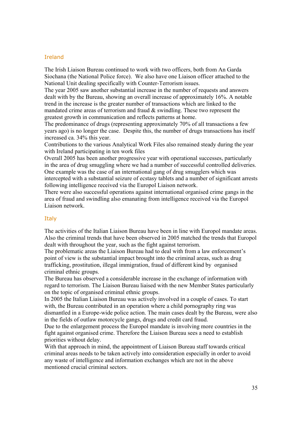#### Ireland

The Irish Liaison Bureau continued to work with two officers, both from An Garda Siochana (the National Police force). We also have one Liaison officer attached to the National Unit dealing specifically with Counter-Terrorism issues.

The year 2005 saw another substantial increase in the number of requests and answers dealt with by the Bureau, showing an overall increase of approximately 16%. A notable trend in the increase is the greater number of transactions which are linked to the mandated crime areas of terrorism and fraud & swindling. These two represent the greatest growth in communication and reflects patterns at home.

The predominance of drugs (representing approximately 70% of all transactions a few years ago) is no longer the case. Despite this, the number of drugs transactions has itself increased ca. 34% this year.

Contributions to the various Analytical Work Files also remained steady during the year with Ireland participating in ten work files

Overall 2005 has been another progressive year with operational successes, particularly in the area of drug smuggling where we had a number of successful controlled deliveries. One example was the case of an international gang of drug smugglers which was intercepted with a substantial seizure of ecstasy tablets and a number of significant arrests following intelligence received via the Europol Liaison network.

There were also successful operations against international organised crime gangs in the area of fraud and swindling also emanating from intelligence received via the Europol Liaison network.

#### Italy

The activities of the Italian Liaison Bureau have been in line with Europol mandate areas. Also the criminal trends that have been observed in 2005 matched the trends that Europol dealt with throughout the year, such as the fight against terrorism.

The problematic areas the Liaison Bureau had to deal with from a law enforcement's point of view is the substantial impact brought into the criminal areas, such as drug trafficking, prostitution, illegal immigration, fraud of different kind by organised criminal ethnic groups.

The Bureau has observed a considerable increase in the exchange of information with regard to terrorism. The Liaison Bureau liaised with the new Member States particularly on the topic of organised criminal ethnic groups.

In 2005 the Italian Liaison Bureau was actively involved in a couple of cases. To start with, the Bureau contributed in an operation where a child pornography ring was dismantled in a Europe-wide police action. The main cases dealt by the Bureau, were also in the fields of outlaw motorcycle gangs, drugs and credit card fraud.

Due to the enlargement process the Europol mandate is involving more countries in the fight against organised crime. Therefore the Liaison Bureau sees a need to establish priorities without delay.

With that approach in mind, the appointment of Liaison Bureau staff towards critical criminal areas needs to be taken actively into consideration especially in order to avoid any waste of intelligence and information exchanges which are not in the above mentioned crucial criminal sectors.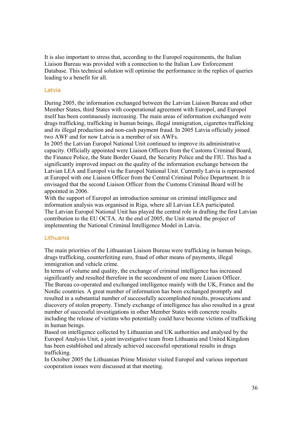It is also important to stress that, according to the Europol requirements, the Italian Liaison Bureau was provided with a connection to the Italian Law Enforcement Database. This technical solution will optimise the performance in the replies of queries leading to a benefit for all.

#### Latvia

During 2005, the information exchanged between the Latvian Liaison Bureau and other Member States, third States with cooperational agreement with Europol, and Europol itself has been continuously increasing. The main areas of information exchanged were drugs trafficking, trafficking in human beings, illegal immigration, cigarettes trafficking and its illegal production and non-cash payment fraud. In 2005 Latvia officially joined two AWF and for now Latvia is a member of six AWFs.

In 2005 the Latvian Europol National Unit continued to improve its administrative capacity. Officially appointed were Liaison Officers from the Customs Criminal Board, the Finance Police, the State Border Guard, the Security Police and the FIU. This had a significantly improved impact on the quality of the information exchange between the Latvian LEA and Europol via the Europol National Unit. Currently Latvia is represented at Europol with one Liaison Officer from the Central Criminal Police Department. It is envisaged that the second Liaison Officer from the Customs Criminal Board will be appointed in 2006.

With the support of Europol an introduction seminar on criminal intelligence and information analysis was organised in Riga, where all Latvian LEA participated. The Latvian Europol National Unit has played the central role in drafting the first Latvian contribution to the EU OCTA. At the end of 2005, the Unit started the project of implementing the National Criminal Intelligence Model in Latvia.

#### Lithuania

The main priorities of the Lithuanian Liaison Bureau were trafficking in human beings, drugs trafficking, counterfeiting euro, fraud of other means of payments, illegal immigration and vehicle crime.

In terms of volume and quality, the exchange of criminal intelligence has increased significantly and resulted therefore in the secondment of one more Liaison Officer. The Bureau co-operated and exchanged intelligence mainly with the UK, France and the Nordic countries. A great number of information has been exchanged promptly and resulted in a substantial number of successfully accomplished results, prosecutions and discovery of stolen property. Timely exchange of intelligence has also resulted in a great number of successful investigations in other Member States with concrete results including the release of victims who potentially could have become victims of trafficking in human beings.

Based on intelligence collected by Lithuanian and UK authorities and analysed by the Europol Analysis Unit, a joint investigative team from Lithuania and United Kingdom has been established and already achieved successful operational results in drugs trafficking.

In October 2005 the Lithuanian Prime Minister visited Europol and various important cooperation issues were discussed at that meeting.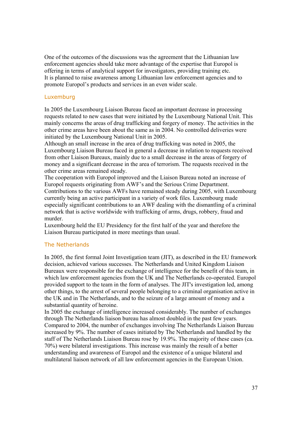One of the outcomes of the discussions was the agreement that the Lithuanian law enforcement agencies should take more advantage of the expertise that Europol is offering in terms of analytical support for investigators, providing training etc. It is planned to raise awareness among Lithuanian law enforcement agencies and to promote Europol's products and services in an even wider scale.

#### Luxemburg

In 2005 the Luxembourg Liaison Bureau faced an important decrease in processing requests related to new cases that were initiated by the Luxembourg National Unit. This mainly concerns the areas of drug trafficking and forgery of money. The activities in the other crime areas have been about the same as in 2004. No controlled deliveries were initiated by the Luxembourg National Unit in 2005.

Although an small increase in the area of drug trafficking was noted in 2005, the Luxembourg Liaison Bureau faced in general a decrease in relation to requests received from other Liaison Bureaux, mainly due to a small decrease in the areas of forgery of money and a significant decrease in the area of terrorism. The requests received in the other crime areas remained steady.

The cooperation with Europol improved and the Liaison Bureau noted an increase of Europol requests originating from AWF's and the Serious Crime Department. Contributions to the various AWFs have remained steady during 2005, with Luxembourg currently being an active participant in a variety of work files. Luxembourg made especially significant contributions to an AWF dealing with the dismantling of a criminal network that is active worldwide with trafficking of arms, drugs, robbery, fraud and murder.

Luxembourg held the EU Presidency for the first half of the year and therefore the Liaison Bureau participated in more meetings than usual.

# The Netherlands

In 2005, the first formal Joint Investigation team (JIT), as described in the EU framework decision, achieved various successes. The Netherlands and United Kingdom Liaison Bureaux were responsible for the exchange of intelligence for the benefit of this team, in which law enforcement agencies from the UK and The Netherlands co-operated. Europol provided support to the team in the form of analyses. The JIT's investigation led, among other things, to the arrest of several people belonging to a criminal organisation active in the UK and in The Netherlands, and to the seizure of a large amount of money and a substantial quantity of heroine.

In 2005 the exchange of intelligence increased considerably. The number of exchanges through The Netherlands liaison bureau has almost doubled in the past few years. Compared to 2004, the number of exchanges involving The Netherlands Liaison Bureau increased by 9%. The number of cases initiated by The Netherlands and handled by the staff of The Netherlands Liaison Bureau rose by 19.9%. The majority of these cases (ca. 70%) were bilateral investigations. This increase was mainly the result of a better understanding and awareness of Europol and the existence of a unique bilateral and multilateral liaison network of all law enforcement agencies in the European Union.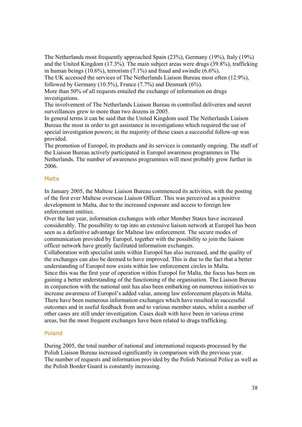The Netherlands most frequently approached Spain (23%), Germany (19%), Italy (19%) and the United Kingdom (17.3%). The main subject areas were drugs (39.8%), trafficking in human beings  $(10.6\%)$ , terrorism  $(7.1\%)$  and fraud and swindle  $(6.6\%)$ .

The UK accessed the services of The Netherlands Liaison Bureau most often (12.9%), followed by Germany  $(10.5\%)$ , France  $(7.7\%)$  and Denmark  $(6\%)$ .

More than 50% of all requests entailed the exchange of information on drugs investigations.

The involvement of The Netherlands Liaison Bureau in controlled deliveries and secret surveillances grew to more than two dozens in 2005.

In general terms it can be said that the United Kingdom used The Netherlands Liaison Bureau the most in order to get assistance in investigations which required the use of special investigation powers; in the majority of these cases a successful follow-up was provided.

The promotion of Europol, its products and its services is constantly ongoing. The staff of the Liaison Bureau actively participated in Europol awareness programmes in The Netherlands. The number of awareness programmes will most probably grow further in 2006.

### Malta

In January 2005, the Maltese Liaison Bureau commenced its activities, with the posting of the first ever Maltese overseas Liaison Officer. This was perceived as a positive development in Malta, due to the increased exposure and access to foreign law enforcement entities.

Over the last year, information exchanges with other Member States have increased considerably. The possibility to tap into an extensive liaison network at Europol has been seen as a definitive advantage for Maltese law enforcement. The secure modes of communication provided by Europol, together with the possibility to join the liaison officer network have greatly facilitated information exchanges.

Collaboration with specialist units within Europol has also increased, and the quality of the exchanges can also be deemed to have improved. This is due to the fact that a better understanding of Europol now exists within law enforcement circles in Malta. Since this was the first year of operation within Europol for Malta, the focus has been on gaining a better understanding of the functioning of the organisation. The Liaison Bureau in conjunction with the national unit has also been embarking on numerous initiatives to increase awareness of Europol's added value, among law enforcement players in Malta. There have been numerous information exchanges which have resulted in successful

outcomes and in useful feedback from and to various member states, whilst a number of other cases are still under investigation. Cases dealt with have been in various crime areas, but the most frequent exchanges have been related to drugs trafficking.

# Poland

During 2005, the total number of national and international requests processed by the Polish Liaison Bureau increased significantly in comparison with the previous year. The number of requests and information provided by the Polish National Police as well as the Polish Border Guard is constantly increasing.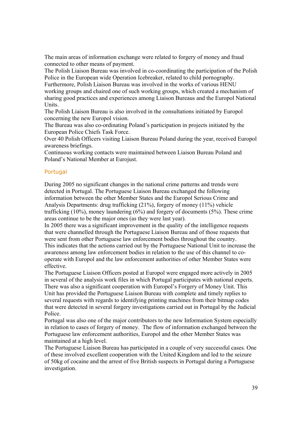The main areas of information exchange were related to forgery of money and fraud connected to other means of payment.

The Polish Liaison Bureau was involved in co-coordinating the participation of the Polish Police in the European wide Operation Icebreaker, related to child pornography.

Furthermore, Polish Liaison Bureau was involved in the works of various HENU working groups and chaired one of such working groups, which created a mechanism of sharing good practices and experiences among Liaison Bureaus and the Europol National Units.

The Polish Liaison Bureau is also involved in the consultations initiated by Europol concerning the new Europol vision.

The Bureau was also co-ordinating Poland's participation in projects initiated by the European Police Chiefs Task Force.

Over 40 Polish Officers visiting Liaison Bureau Poland during the year, received Europol awareness briefings.

Continuous working contacts were maintained between Liaison Bureau Poland and Poland's National Member at Eurojust.

#### Portugal

During 2005 no significant changes in the national crime patterns and trends were detected in Portugal. The Portuguese Liaison Bureau exchanged the following information between the other Member States and the Europol Serious Crime and Analysis Departments: drug trafficking (21%), forgery of money (11%) vehicle trafficking (10%), money laundering (6%) and forgery of documents (5%). These crime areas continue to be the major ones (as they were last year).

In 2005 there was a significant improvement in the quality of the intelligence requests that were channelled through the Portuguese Liaison Bureau and of those requests that were sent from other Portuguese law enforcement bodies throughout the country. This indicates that the actions carried out by the Portuguese National Unit to increase the awareness among law enforcement bodies in relation to the use of this channel to cooperate with Europol and the law enforcement authorities of other Member States were effective.

The Portuguese Liaison Officers posted at Europol were engaged more actively in 2005 in several of the analysis work files in which Portugal participates with national experts. There was also a significant cooperation with Europol's Forgery of Money Unit. This Unit has provided the Portuguese Liaison Bureau with complete and timely replies to several requests with regards to identifying printing machines from their bitmap codes that were detected in several forgery investigations carried out in Portugal by the Judicial Police.

Portugal was also one of the major contributors to the new Information System especially in relation to cases of forgery of money. The flow of information exchanged between the Portuguese law enforcement authorities, Europol and the other Member States was maintained at a high level.

The Portuguese Liaison Bureau has participated in a couple of very successful cases. One of these involved excellent cooperation with the United Kingdom and led to the seizure of 50kg of cocaine and the arrest of five British suspects in Portugal during a Portuguese investigation.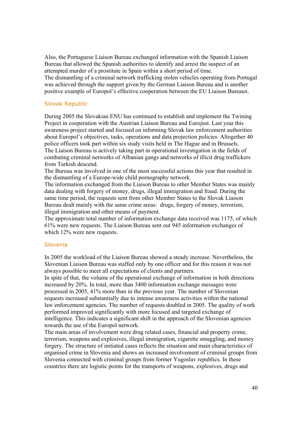Also, the Portuguese Liaison Bureau exchanged information with the Spanish Liaison Bureau that allowed the Spanish authorities to identify and arrest the suspect of an attempted murder of a prostitute in Spain within a short period of time. The dismantling of a criminal network trafficking stolen vehicles operating from Portugal was achieved through the support given by the German Liaison Bureau and is another positive example of Europol's effective cooperation between the EU Liaison Bureaux.

#### Slovak Republic

During 2005 the Slovakian ENU has continued to establish and implement the Twining Project in cooperation with the Austrian Liaison Bureau and Eurojust. Last year this awareness project started and focused on informing Slovak law enforcement authorities about Europol's objectives, tasks, operations and data projection policies. Altogether 40 police officers took part within six study visits held in The Hague and in Brussels. The Liaison Bureau is actively taking part in operational investigation in the fields of combating criminal networks of Albanian gangs and networks of illicit drug traffickers from Turkish descend.

The Bureau was involved in one of the most successful actions this year that resulted in the dismantling of a Europe-wide child pornography network.

The information exchanged from the Liaison Bureau to other Member States was mainly data dealing with forgery of money, drugs, illegal immigration and fraud. During the same time period, the requests sent from other Member States to the Slovak Liaison Bureau dealt mainly with the same crime areas: drugs, forgery of money, terrorism, illegal immigration and other means of payment.

The approximate total number of information exchange data received was 1175, of which 61% were new requests. The Liaison Bureau sent out 945 information exchanges of which 12% were new requests.

#### Slovenia

In 2005 the workload of the Liaison Bureau showed a steady increase. Nevertheless, the Slovenian Liaison Bureau was staffed only by one officer and for this reason it was not always possible to meet all expectations of clients and partners.

In spite of that, the volume of the operational exchange of information in both directions increased by 20%. In total, more than 3400 information exchange messages were processed in 2005, 41% more than in the previous year. The number of Slovenian requests increased substantially due to intense awareness activities within the national law enforcement agencies. The number of requests doubled in 2005. The quality of work performed improved significantly with more focused and targeted exchange of intelligence. This indicates a significant shift in the approach of the Slovenian agencies towards the use of the Europol network.

The main areas of involvement were drug related cases, financial and property crime, terrorism, weapons and explosives, illegal immigration, cigarette smuggling, and money forgery. The structure of initiated cases reflects the situation and main characteristics of organised crime in Slovenia and shows an increased involvement of criminal groups from Slovenia connected with criminal groups from former Yugoslav republics. In these countries there are logistic points for the transports of weapons, explosives, drugs and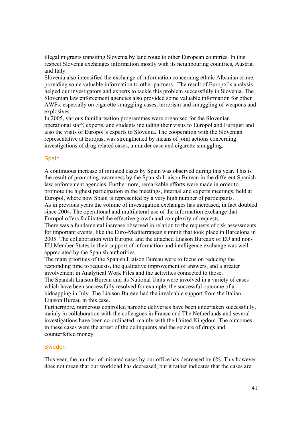illegal migrants transiting Slovenia by land route to other European countries. In this respect Slovenia exchanges information mostly with its neighbouring countries, Austria, and Italy.

Slovenia also intensified the exchange of information concerning ethnic Albanian crime, providing some valuable information to other partners. The result of Europol's analysis helped our investigators and experts to tackle this problem successfully in Slovenia. The Slovenian law enforcement agencies also provided some valuable information for other AWFs, especially on cigarette smuggling cases, terrorism and smuggling of weapons and explosives.

In 2005, various familiarisation programmes were organised for the Slovenian operational staff, experts, and students including their visits to Europol and Eurojust and also the visits of Europol's experts to Slovenia. The cooperation with the Slovenian representative at Eurojust was strengthened by means of joint actions concerning investigations of drug related cases, a murder case and cigarette smuggling.

#### **Spain**

A continuous increase of initiated cases by Spain was observed during this year. This is the result of promoting awareness by the Spanish Liaison Bureau in the different Spanish law enforcement agencies. Furthermore, remarkable efforts were made in order to promote the highest participation in the meetings, internal and experts meetings, held at Europol, where now Spain is represented by a very high number of participants. As in previous years the volume of investigation exchanges has increased, in fact doubled since 2004. The operational and multilateral use of the information exchange that Europol offers facilitated the effective growth and complexity of requests. There was a fundamental increase observed in relation to the requests of risk assessments for important events, like the Euro-Mediterranean summit that took place in Barcelona in 2005. The collaboration with Europol and the attached Liaison Bureaux of EU and non-EU Member States in their support of information and intelligence exchange was well appreciated by the Spanish authorities.

The main priorities of the Spanish Liaison Bureau were to focus on reducing the responding time to requests, the qualitative improvement of answers, and a greater involvement in Analytical Work Files and the activities connected to those. The Spanish Liaison Bureau and its National Units were involved in a variety of cases

which have been successfully resolved for example, the successful outcome of a kidnapping in July. The Liaison Bureau had the invaluable support from the Italian Liaison Bureau in this case.

Furthermore, numerous controlled narcotic deliveries have been undertaken successfully, mainly in collaboration with the colleagues in France and The Netherlands and several investigations have been co-ordinated, mainly with the United Kingdom. The outcomes in these cases were the arrest of the delinquents and the seizure of drugs and counterfeited money.

#### Sweden

This year, the number of initiated cases by our office has decreased by 6%. This however does not mean that our workload has decreased, but it rather indicates that the cases are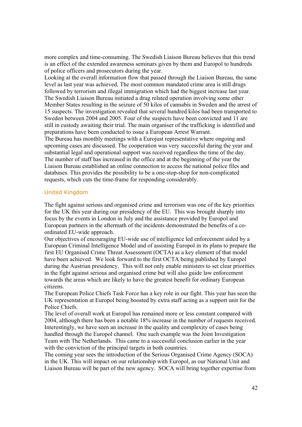more complex and time-consuming. The Swedish Liaison Bureau believes that this trend is an effect of the extended awareness seminars given by them and Europol to hundreds of police officers and prosecutors during the year.

Looking at the overall information flow that passed through the Liaison Bureau, the same level as last year was achieved. The most common mandated crime area is still drugs followed by terrorism and illegal immigration which had the biggest increase last year. The Swedish Liaison Bureau initiated a drug related operation involving some other Member States resulting in the seizure of 50 kilos of cannabis in Sweden and the arrest of 15 suspects. The investigation revealed that several hundred kilos had been transported to Sweden between 2004 and 2005. Four of the suspects have been convicted and 11 are still in custody awaiting their trial. The main organiser of the trafficking is identified and preparations have been conducted to issue a European Arrest Warrant. The Bureau has monthly meetings with a Eurojust representative where ongoing and upcoming cases are discussed. The cooperation was very successful during the year and substantial legal and operational support was received regardless the time of the day. The number of staff has increased in the office and at the beginning of the year the Liaison Bureau established an online connection to access the national police files and databases. This provides the possibility to be a one-stop-shop for non-complicated

requests, which cuts the time-frame for responding considerably.

#### United Kingdom

The fight against serious and organised crime and terrorism was one of the key priorities for the UK this year during our presidency of the EU. This was brought sharply into focus by the events in London in July and the assistance provided by Europol and European partners in the aftermath of the incidents demonstrated the benefits of a coordinated EU-wide approach.

Our objectives of encouraging EU-wide use of intelligence led enforcement aided by a European Criminal Intelligence Model and of assisting Europol in its plans to prepare the first EU Organised Crime Threat Assessment (OCTA) as a key element of that model have been achieved. We look forward to the first OCTA being published by Europol during the Austrian presidency. This will not only enable ministers to set clear priorities in the fight against serious and organised crime but will also guide law enforcement towards the areas which are likely to have the greatest benefit for ordinary European citizens.

The European Police Chiefs Task Force has a key role in our fight. This year has seen the UK representation at Europol being boosted by extra staff acting as a support unit for the Police Chiefs.

The level of overall work at Europol has remained more or less constant compared with 2004, although there has been a notable 18% increase in the number of requests received. Interestingly, we have seen an increase in the quality and complexity of cases being handled through the Europol channel. One such example was the Joint Investigation Team with The Netherlands. This came to a successful conclusion earlier in the year with the conviction of the principal targets in both countries.

The coming year sees the introduction of the Serious Organised Crime Agency (SOCA) in the UK. This will impact on our relationship with Europol, as our National Unit and Liaison Bureau will be part of the new agency. SOCA will bring together expertise from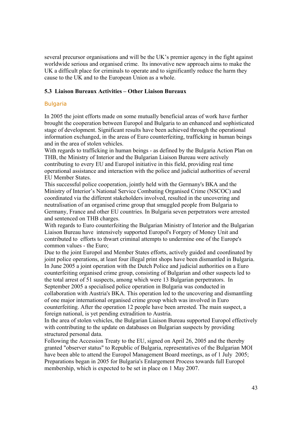several precursor organisations and will be the UK's premier agency in the fight against worldwide serious and organised crime. Its innovative new approach aims to make the UK a difficult place for criminals to operate and to significantly reduce the harm they cause to the UK and to the European Union as a whole.

#### **5.3 Liaison Bureaux Activities – Other Liaison Bureaux**

### **Bulgaria**

In 2005 the joint efforts made on some mutually beneficial areas of work have further brought the cooperation between Europol and Bulgaria to an enhanced and sophisticated stage of development. Significant results have been achieved through the operational information exchanged, in the areas of Euro counterfeiting, trafficking in human beings and in the area of stolen vehicles.

With regards to trafficking in human beings - as defined by the Bulgaria Action Plan on THB, the Ministry of Interior and the Bulgarian Liaison Bureau were actively contributing to every EU and Europol initiative in this field, providing real time operational assistance and interaction with the police and judicial authorities of several EU Member States.

This successful police cooperation, jointly held with the Germany's BKA and the Ministry of Interior's National Service Combating Organised Crime (NSCOC) and coordinated via the different stakeholders involved, resulted in the uncovering and neutralisation of an organised crime group that smuggled people from Bulgaria to Germany, France and other EU countries. In Bulgaria seven perpetrators were arrested and sentenced on THB charges.

With regards to Euro counterfeiting the Bulgarian Ministry of Interior and the Bulgarian Liaison Bureau have intensively supported Europol's Forgery of Money Unit and contributed to efforts to thwart criminal attempts to undermine one of the Europe's common values - the Euro;

Due to the joint Europol and Member States efforts, actively guided and coordinated by joint police operations, at least four illegal print shops have been dismantled in Bulgaria. In June 2005 a joint operation with the Dutch Police and judicial authorities on a Euro counterfeiting organised crime group, consisting of Bulgarian and other suspects led to the total arrest of 51 suspects, among which were 13 Bulgarian perpetrators. In September 2005 a specialised police operation in Bulgaria was conducted in collaboration with Austria's BKA. This operation led to the uncovering and dismantling of one major international organised crime group which was involved in Euro counterfeiting. After the operation 12 people have been arrested. The main suspect, a foreign national, is yet pending extradition to Austria.

In the area of stolen vehicles, the Bulgarian Liaison Bureau supported Europol effectively with contributing to the update on databases on Bulgarian suspects by providing structured personal data.

Following the Accession Treaty to the EU, signed on April 26, 2005 and the thereby granted "observer status" to Republic of Bulgaria, representatives of the Bulgarian MOI have been able to attend the Europol Management Board meetings, as of 1 July 2005; Preparations began in 2005 for Bulgaria's Enlargement Process towards full Europol membership, which is expected to be set in place on 1 May 2007.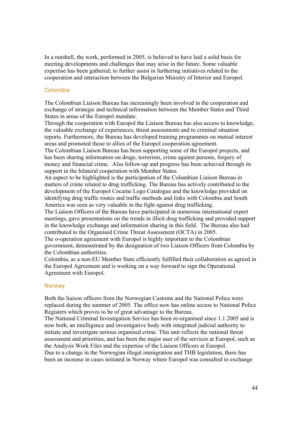In a nutshell, the work, performed in 2005, is believed to have laid a solid basis for meeting developments and challenges that may arise in the future. Some valuable expertise has been gathered; to further assist in furthering initiatives related to the cooperation and interaction between the Bulgarian Ministry of Interior and Europol.

#### Colombia

The Colombian Liaison Bureau has increasingly been involved in the cooperation and exchange of strategic and technical information between the Member States and Third States in areas of the Europol mandate.

Through the cooperation with Europol the Liaison Bureau has also access to knowledge, the valuable exchange of experiences, threat assessments and to criminal situation reports. Furthermore, the Bureau has developed training programmes on mutual interest areas and promoted those to allies of the Europol cooperation agreement.

The Colombian Liaison Bureau has been supporting some of the Europol projects, and has been sharing information on drugs, terrorism, crime against persons, forgery of money and financial crime. Also follow-up and progress has been achieved through its support in the bilateral cooperation with Member States.

An aspect to be highlighted is the participation of the Colombian Liaison Bureau in matters of crime related to drug trafficking. The Bureau has actively contributed to the development of the Europol Cocaine Logo Catalogue and the knowledge provided on identifying drug traffic routes and traffic methods and links with Colombia and South America was seen as very valuable in the fight against drug trafficking.

The Liaison Officers of the Bureau have participated in numerous international expert meetings, gave presentations on the trends in illicit drug trafficking and provided support in the knowledge exchange and information sharing in this field. The Bureau also had contributed to the Organised Crime Threat Assessment (OCTA) in 2005.

The o-operation agreement with Europol is highly important to the Colombian government, demonstrated by the designation of two Liaison Officers from Colombia by the Colombian authorities.

Colombia, as a non-EU Member State efficiently fulfilled their collaboration as agreed in the Europol Agreement and is working on a way forward to sign the Operational Agreement with Europol.

#### Norway

Both the liaison officers from the Norwegian Customs and the National Police were replaced during the summer of 2005. The office now has online access to National Police Registers which proves to be of great advantage to the Bureau.

The National Criminal Investigation Service has been re-organised since 1.1.2005 and is now both, an intelligence and investigative body with integrated judicial authority to initiate and investigate serious organised crime. This unit reflects the national threat assessment and priorities, and has been the major user of the services at Europol, such as the Analysis Work Files and the expertise of the Liaison Officers at Europol. Due to a change in the Norwegian illegal immigration and THB legislation, there has

been an increase in cases initiated in Norway where Europol was consulted to exchange